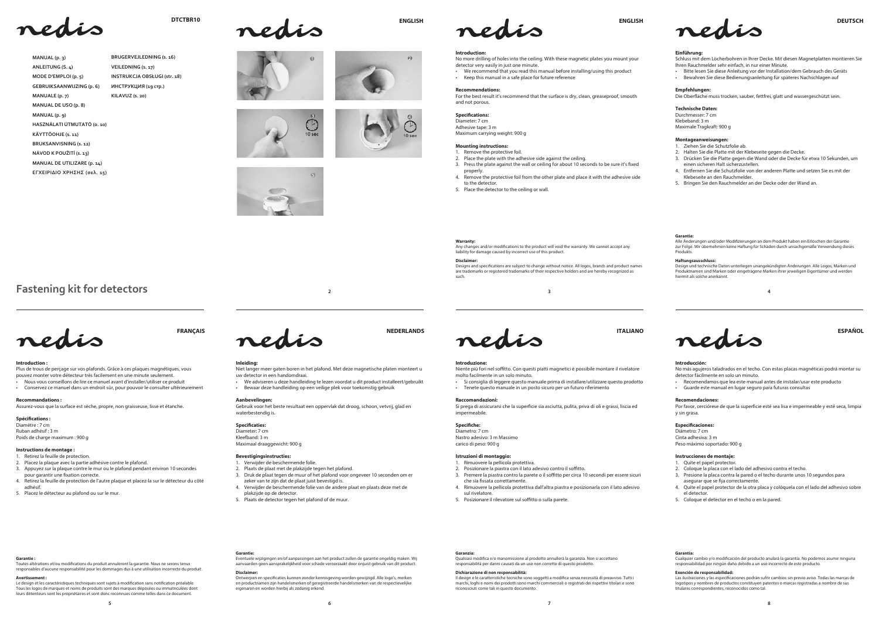

**MANUAL (p. 3) ANLEITUNG (S. 4) MODE D'EMPLOI (p. 5) GEBRUIKSAANWIJZING (p. 6)**

**KÄYTTÖOHJE (s. 11) BRUKSANVISNING (s. 12) NÁVOD K POUŽITÍ (S. 13) MANUAL DE UTILIZARE (p. 14) ΕΓΧΕΙΡΙΔΙΟ ΧΡΗΣΗΣ (σελ. 15)** 

**MANUALE (p. 7) MANUAL DE USO (p. 8) MANUAL (p. 9)**

**HASZNÁLATI ÚTMUTATÓ (o. 10)**

**DTCTBR10** 

**INSTRUKCJA OBSŁUGI (str. 18)** ИНСТРУКЦИЯ (19 стр.) **KILAVUZ (s. ͚͘)** 









**BRUGERVEJLEDNING (s. 16) VEILEDNING (s. 17)**

# **<sup>2</sup> <sup>3</sup>**





Por favor, cerciórese de que la superficie esté sea lisa e impermeable y esté seca, limpia y sin grasa.

### **Especificaciones:**



Diámetro: 7 cm Cinta adhesiva: 3 m Peso máximo soportado: 900 g





#### **Introducción:**

No más agujeros taladrados en el techo. Con estas placas magnéticas podrá montar su detector fácilmente en solo un minuto.

- Recomendamos que lea este manual antes de instalar/usar este producto
- Guarde este manual en lugar seguro para futuras consultas

No more drilling of holes into the ceiling. With these magnetic plates you mount your detector very easily in just one minute.

that the vertex of the matter of the manual before installing/using this product

## $\cdot$  Keep this manual in a safe place for future reference

### **Recomendaciones:**

Diameter: 7 cm Adhesive tape: 3 m Maximum carrying weight: 900 g

## **Instrucciones de montaje:**

- 1. Quite el papel protector.
- 2. Coloque la placa con el lado del adhesivo contra el techo.
- 3. Presione la placa contra la pared o el techo durante unos 10 segundos para asegurar que se fija correctamente.
- Quite el papel protector de la otra placa y colóquela con el lado del adhesivo sobre el detector.
- 5. Coloque el detector en el techo o en la pared.
- th Bitte lesen Sie diese Anleitung vor der Installation/dem Gebrauch des Geräts
- t Bewahren Sie diese Bedienungsanleitung für späteres Nachschlagen auf

Durchmesser: 7 cm Klebeband: 3 m Maximale Tragkraft: 900 g

#### **Introduction:**

#### **Recommendations:**

For the best result it's recommend that the surface is dry, clean, greaseproof, smooth and not porous.

## **Specifications:**

Diamètre : 7 cm Ruban adhésif : 3 m Poids de charge maximum : 900 g

#### **Mounting instructions:**

1. Remove the protective foil.

- 2. Place the plate with the adhesive side against the ceiling.
- 3. Press the plate against the wall or ceiling for about 10 seconds to be sure it's fixed properly.
- 4. Remove the protective foil from the other plate and place it with the adhesive side to the detector.
- 5. Place the detector to the ceiling or wall.

## **Einführung:**

Schluss mit dem Löcherbohren in Ihrer Decke. Mit diesen Magnetplatten montieren Sie Ihren Rauchmelder sehr einfach, in nur einer Minute.

nico compositivamente in controlation. Con questi piatti magnetici è possibile montare il rivelatore Niente di molto facilmente in un solo minuto.

t Si consiglia di leggere questo manuale prima di installare/utilizzare questo prodotto . Tenete questo manuale in un posto sicuro per un futuro riferimento

## **Empfehlungen:**

Die Oberäche muss trocken, sauber, fettfrei, glatt und wassergeschützt sein.

## **Technische Daten:**

Si prega di assicurarsi che la superficie sia asciutta, pulita, priva di oli e grassi, liscia ed impermeabile.

## Specifiche:

Diametro: 7 cm Nastro adesivo: 3 m Massimo carico di peso: 900 g

#### **Montageanweisungen:**

- 1. Rimuovere la pellicola protettiva.
- 2. Posizionare la piastra con il lato adesivo contro il soffitto.
- 3. Premere la piastra contro la parete o il soffitto per circa 10 secondi per essere sicuri che sia fissata correttamente.
- 4. Rimuovere la pellicola protettiva dall'altra piastra e posizionarla con il lato adesivo sul rivelatore.
- 5. Posizionare il rilevatore sul soffitto o sulla parete.
- 1. Ziehen Sie die Schutzfolie ab.
- 2. Halten Sie die Platte mit der Klebeseite gegen die Decke.
- 3. Drücken Sie die Platte gegen die Wand oder die Decke für etwa 10 Sekunden, um einen sicheren Halt sicherzustellen.
- 4. Entfernen Sie die Schutzfolie von der anderen Platte und setzen Sie es mit der Klebeseite an den Rauchmelder.
- 5. Bringen Sie den Rauchmelder an der Decke oder der Wand an.

**Warranty:**<br>Any changes and/or modifications to the product will void the warranty. We cannot accept any liability for damage caused by incorrect use of this product.

Designs and specifications are subject to change without notice. All logos, brands and product names are trademarks or registered trademarks of their respective holders and are hereby recognized as such.

#### **Introduction :**

Plus de trous de perçage sur vos plafonds. Grâce à ces plaques magnétiques, vous pouvez monter votre détecteur très facilement en une minute seulement.

t Nous vous conseillons de lire ce manuel avant d'installer/utiliser ce produit t Conservez ce manuel dans un endroit sûr, pour pouvoir le consulter ultérieurement

**Recommandations :** Assurez-vous que la surface est sèche, propre, non graisseuse, lisse et étanche.

# **Spécifications:**

Le design et les caractéristiques techniques sont sujets à modification sans notification préalable. Tous les logos de marques et noms de produits sont des marques déposées ou immatriculées dont leurs détenteurs sont les propriétaires et sont donc reconnues comme telles dans ce document.



## **Instructions de montage :**

- 1. Retirez la feuille de protection.
- 2. Placez la plaque avec la partie adhésive contre le plafond.
- 3. Appuyez sur la plaque contre le mur ou le plafond pendant environ 10 secondes pour garantir une fixation correcte.
- 4. Retirez la feuille de protection de l'autre plaque et placez-la sur le détecteur du côté adhésif.
- 5. Placez le détecteur au plafond ou sur le mur.



Il design e le caratteristiche tecniche sono soggetti a modifica senza necessità di preavviso. Tutti i marchi, loghi e nomi dei prodotti sono marchi commerciali o registrati dei rispettivi titolari e sono riconosciuti come tali in questo documento.

## **Inleiding:**

Niet langer meer gaten boren in het plafond. Met deze magnetische platen monteert u uw detector in een handomdraai.

We adviseren u deze handleiding te lezen voordat u dit product installeert/gebruikt + Bewaar deze handleiding op een veilige plek voor toekomstig gebruik

> Las ilustraciones y las especicaciones podrán sufrir cambios sin previo aviso. Todas las marcas de logotipos y nombres de productos constituyen patentes o marcas registradas a nombre de sus ares correspondientes, reconocidos como tal.

## **Aanbevelingen:**

Gebruik voor het beste resultaat een oppervlak dat droog, schoon, vetvrij, glad en waterbestendig is.

### Specificaties:

Diameter: 7 cm Kleefband: 3 m Maximaal draaggewicht: 00 g

## **Bevestigingsinstructies:**

- 1. Verwijder de beschermende folie.
- Plaats de plaat met de plakzijde tegen het plafond.
- 3. Druk de plaat tegen de muur of het plafond voor ongeveer 10 seconden om er zeker van te zijn dat de plaat juist bevestigd is.
- 4. Verwijder de beschermende folie van de andere plaat en plaats deze met de plakzijde op de detector.
- 5. Plaats de detector tegen het plafond of de muur.

#### **Introduzione:**

### **Raccomandazioni:**

### **Istruzioni di montaggio:**

#### **Disclaimer:**

#### **Garantie:**

Alle Änderungen und/oder Modizierungen an dem Produkt haben ein Erlöschen der Garantie zur Folge. Wir übernehmen keine Haftung für Schäden durch unsachgemäße Verwendung dieses Produkts.

#### **Haftungsausschluss:**

Design und technische Daten unterliegen unangekündigten Änderungen. Alle Logos, Marken und Produktnamen sind Marken oder eingetragene Marken ihrer jeweiligen Eigentümer und werden hiermit als solche anerkannt.

#### **Garantie :**

Toutes altérations et/ou modications du produit annuleront la garantie. Nous ne serons tenus responsables d'aucune responsabilité pour les dommages dus à une utilisation incorrecte du produit.

#### **Avertissement :**

**Garantie:** Eventuele wijzigingen en/of aanpassingen aan het product zullen de garantie ongeldig maken. Wij aanvaarden geen aansprakelijkheid voor schade veroorzaakt door onjuist gebruik van dit product.

#### **Disclaimer:**

Ontwerpen en specificaties kunnen zonder kennisgeving worden gewijzigd. Alle logo's, merken en productnamen zijn handelsmerken of geregistreerde handelsmerken van de respectievelijke aren en worden hierbij als zodanig erkend.

## **Garanzia:**

Qualsiasi modica e/o manomissione al prodotto annullerà la garanzia. Non si accettano responsabilità per danni causati da un uso non corretto di questo prodotto.

#### **Dichiarazione di non responsabilità:**

#### **Garantía:**

Cualquier cambio y/o modicación del producto anulará la garantía. No podemos asumir ninguna responsabilidad por ningún daño debido a un uso incorrecto de este producto.

## **Exención de responsabilidad:**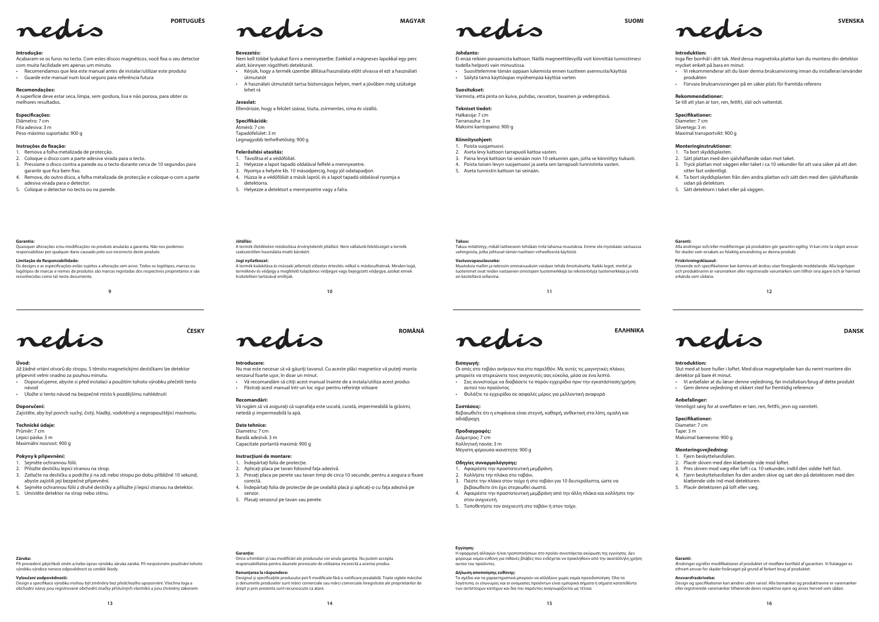**10 11 12**



**13 14 15 16**

**9**





### **Introducere:**

- Nu mai este necesar să vă găuriți tavanul. Cu aceste plăci magnetice vă puteți monta senzorul foarte uşor, în doar un minut.
- t Vă recomandăm să citiți acest manual înainte de a instala/utiliza acest produs · Păstrați acest manual într-un loc sigur pentru referințe viitoare

### **Recomandări:**

Vă rugăm să vă asiguraţi că suprafaţa este uscată, curată, impermeabilă la grăsimi,

- 3. Presați placa pe perete sau tavan timp de circa 10 secunde, pentru a asigura o fixare
- 4. Îndepărtaţi folia de protecţie de pe cealaltă placă şi aplicaţi-o cu faţa adezivă pe

netedă şi impermeabilă la apă.

#### **Date tehnice:**

Bandă adezivă: 3 m

Diametru: 7 cm Capacitate portantă maximă: 00 g .<br>Σας συνιστούμε να διαβάσετε το παρόν εγχειρίδιο πριν την εγκατάσταση/χρήση αυτού του προϊόντος

## **Instrucţiuni de montare:**

- 
- 

#### 1. Îndepărtați folia de protecție. Aplicați placa pe tavan folosind fața adezivă.

- 
- 
- corectă.
- senzor.

**Εισαγωγή:**

t Vi anbefaler at du læser denne vejledning, før installation/brug af dette produkt Gem denne vejledning et sikkert sted for fremtidig reference

Οι οπές στο ταβάνι ανήκουν πια στο παρελθόν. Με αυτές τις μαγνητικές πλάκες μπορείτε να στερεώνετε τους ανιχνευτές σας εύκολα, μέσα σε ένα λεπτό.

t Φυλάξτε το εγχειρίδιο σε ασφαλές μέρος για μελλοντική αναφορά

#### **Συστάσεις:**

Βεβαιωθείτε ότι η επιφάνεια είναι στεγνή, καθαρή, ανθεκτική στα λίπη, ομαλή και αδιάβροχη.

### **Προδιαγραφές:**

Διάμετρος: 7 cm Κολλητική ταινία: 3 m Μέγιστη φέρουσα ικανότητα: 00 g

### **Οδηγίες συναρμολόγησης:**

Průměr: 7 cm Lepicí páska: 3 m Maximální nosnost: 900 g

- 1. Αφαιρέστε την προστατευτική μεμβράνη.
- 2. Κολλήστε την πλάκα στο ταβάνι.
- 3. Πιέστε την πλάκα στον τοίχο ή στο ταβάνι για 10 δευτερόλεπτα, ώστε να βεβαιωθείτε ότι έχει στερεωθεί σωστά.
- 4. Αφαιρέστε την προστατευτική μεμβράνη από την άλλη πλάκα και κολλήστε την στον ανιχνευτή. 5. Τοποθετήστε τον ανιχνευτή στο ταβάνι ή στον τοίχο.

Acabaram-se os furos no tecto. Com estes discos magnéticos, você fixa o seu detector com muita facilidade em apenas um minuto.

### **Introduktion:**

Slut med at bore huller i loftet. Med disse magnetplader kan du nemt montere din detektor på bare ét minut.

### **Anbefalinger:**

Vennligst sørg for at overflaten er tørr, ren, fettfri, jevn og vanntett.

## Specifikationer:

Diameter: 7 cm Tape: 3 m Maksimal bæreevne: 00 g

#### **Monteringsvejledning:**

- 1. Fjern beskyttelsesfolien.
- Placér skiven med den klæbende side mod loftet.
- 3. Pres skiven mod væg eller loft i ca. 10 sekunder, indtil den sidder helt fast.
- 4. Fjern beskyttelsesfolien fra den anden skive og sæt den på detektoren med den klæbende side ind mod detektoren.
- 5. Placér detektoren på loft eller væg.

Inga fler borrhål i ditt tak. Med dessa magnetiska plattor kan du montera din detektor mycket enkelt på bara en minut.

## **Úvod:**

Již žádné vrtání otvorů do stropu. S těmito magnetickými destičkami lze detektor připevnit velmi snadno za pouhou minutu.

- i<br>Doporučujeme, abyste si před instalací a použitím tohoto výrobku přečetli tento návod
- · Uložte si tento návod na bezpečné místo k pozdějšímu nahlédnutí

#### **Doporučení:**

Zajistěte, aby byl povrch suchý, čistý, hladký, vodotěsný a nepropouštějící mastnotu.

#### **Technické údaje:**

### **Pokyny k připevnění:**

- 1. Sejměte ochrannou fólii.
- 2. Přiložte destičku lepicí stranou na strop.
- 3. Zatlačte na destičku a podržte ji na zdi nebo stropu po dobu přibližně 10 sekund, abyste zajistili její bezpečné připevnění.

**Záruka:**<br>Při provedení jakýchkoli změn a/nebo úprav výrobku záruka zaniká. Při nesprávném používání tohoto

4. Sejměte ochrannou fólii z druhé destičky a přiložte ji lepicí stranou na detektor.

## 5. Umístěte detektor na strop nebo stěnu.



## **Introdução:**

- t Recomendamos que leia este manual antes de instalar/utilizar este produto t Guarde este manual num local seguro para referência futura
- 

#### **Recomendações:**

A superfície deve estar seca, limpa, sem gordura, lisa e não porosa, para obter os melhores resultados.

#### Especificações:

Diâmetro: 7 cm Fita adesiva: 3 m Peso máximo suportado: 00 g

#### **Instruções de xação:**

- 1. Remova a folha metalizada de protecção.
- 2. Coloque o disco com a parte adesiva virada para o tecto.
- 3. Pressione o disco contra a parede ou o tecto durante cerca de 10 segundos para garantir que fica bem fixo.
- 4. Remova, do outro disco, a folha metalizada de protecção e coloque-o com a parte adesiva virada para o detector.
- 5. Coloque o detector no tecto ou na parede.

Design a specikace výrobku mohou být změněny bez předchozího upozornění. Všechna loga a odní názvy jsou registrované obchodní značky příslušných vlastníků a jsou chráněny záko

**Johdanto:**

Ei enää reikien poraamista kattoon. Näillä magneettilevyillä voit kiinnittää tunnistimesi

todella helposti vain minuutissa.

t Suosittelemme tämän oppaan lukemista ennen tuotteen asennusta/käyttöä

t Säilytä tämä käyttöopas myöhempää käyttöä varten

Designul și specificațiile produsului pot fi modificate fără o notificare prealabilă. Toate siglele mărcilor şi denumirile produselor sunt mărci comerciale sau mărci comerciale înregistrate ale proprietarilor de

**Suositukset:**

Varmista, että pinta on kuiva, puhdas, rasvaton, tasainen ja vedenpitävä.

**Tekniset tiedot:** Halkaisija: 7 cm Tarranauha: 3 m Maksimi kantopaino: 00 g

**Kiinnitysohjeet:** 1. Poista suojamuovi.

2. Aseta levy kattoon tarrapuoli kattoa vasten.

3. Paina levyä kattoon tai seinään noin 10 sekunnin ajan, jotta se kiinnittyy tiukasti. 4. Poista toisen levyn suojamuovi ja aseta sen tarrapuoli tunnistinta vasten.

> Design og specikationer kan ændres uden varsel. Alle bomærker og produktnavne er varemærker eller<br>erede varemærker tilhørende deres respektive ejere og anses herved som sådan.

5. Aseta tunnistin kattoon tai seinään.

### **Introduktion:**

- t Vi rekommenderar att du läser denna bruksanvisning innan du installerar/använder produkten
- t Förvara bruksanvisningen på en säker plats för framtida referens

#### **Rekommendationer:**

Se till att ytan är torr, ren, fettfri, slät och vattentät.

**Specikationer:** Diameter: 7 cm Silverteip: 3 m Maximal transportvikt: 00 g

## **Monteringinstruktioner:**

- 1. Ta bort skyddsplasten.
- 2. Sätt plattan med den självhäftande sidan mot taket.
- 3. Tryck plattan mot väggen eller taket i ca 10 sekunder för att vara säker på att den sitter fast ordentligt.
- 4. Ta bort skyddsplasten från den andra plattan och sätt den med den självhäftande sidan på detektorn.
- 5. Sätt detektorn i taket eller på väggen.

## **Bevezetés:**

Nem kell többé lyukakat fúrni a mennyezetbe. Ezekkel a mágneses lapokkal egy perc alatt, könnyen rögzítheti detektorát.

MAGYAR

- t Kérjük, hogy a termék üzembe állítása/használata előtt olvassa el ezt a használati útmutatót
- t A használati útmutatót tartsa biztonságos helyen, mert a jövőben még szüksége lehet rá

#### **Javaslat:**

Ellenőrizze, hogy a felület száraz, tiszta, zsírmentes, sima és vízálló.

#### Specifikációk:

Átmérő: 7 cm Tapadófelület: 3 m

Legnagyobb terhelhetőség: 900 g

## **Felerősítési utasítás:**

1. Távolítsa el a védőfóliát.

- 2. Helyezze a lapot tapadó oldalával felfelé a mennyezetre.
- 3. Nyomja a helyére kb. 10 másodpercig, hogy jól odatapadjon.
- 4. Húzza le a védőfóliát a másik lapról, és a lapot tapadó oldalával nyomja a detektorra.
- 5. Helyezze a detektort a mennyezetre vagy a falra.

**Takuu:**

Takuu mitätöityy, mikäli laitteeseen tehdään mitä tahansa muutoksia. Emme ole myöskään vastuussa

vahingoista, jotka johtuvat tämän tuotteen virheellisestä käytöstä.

**Vastuuvapauslauseke:**

Muutoksia malliin ja teknisiin ominaisuuksiin voidaan tehdä ilmoituksetta. Kaikki logot, merkit ja tuotenimet ovat niiden vastaavien omistajien tuotemerkkejä tai rekisteröityjä tuotemerkkejä ja niitä

on käsiteltävä sellaisina.

#### **Garanti:**

Alla ändringar och/eller modieringar på produkten gör garantin ogiltig. Vi kan inte ta något ansvar för skador som orsakats av felaktig användning av denna produkt.

#### **Friskrivningsklausul:**

Utseende och specikationer kan komma att ändras utan föregående meddelande. Alla logotyper och produktnamn är varumärken eller registrerade varumärken som tillhör sina ägare och är härmed erkända som sådana.

#### **Jótállás:**

A termék illetéktelen módosítása érvényteleníti jótállást. Nem vállalunk felelősséget a termék szakszerűtlen használata miatti károkért.

#### **Jogi nyilatkozat:**

A termék kialakítása és műszaki jellemzői előzetes értesítés nélkül is módosulhatnak. Minden logó, terméknév és védjegy a megfelelő tulajdonos védjegye vagy bejegyzett védjegye, azokat ennek tiszteletben tartásával említjük.

#### **Garantia:**

Quaisquer alterações e/ou modicações no produto anularão a garantia. Não nos podemos responsabilizar por qualquer dano causado pelo uso incorrecto deste produto.

#### **Limitação de Responsabilidade:**

Os designs e as especicações estão sujeitos a alteração sem aviso. Todos os logótipos, marcas ou logótipos de marcas e nomes de produtos são marcas registadas dos respectivos proprietários e são reconhecidas como tal neste documento.

výrobku výrobce nenese odpovědnost za vzniklé škody.

**Vyloučení zodpovědnosti:**

**Garanţie:**

Orice schimbări şi/sau modicări ale produsului vor anula garanţia. Nu putem accepta responsabilitatea pentru daunele provocate de utilizarea incorectă a acestui produs.

5. Plasați senzorul pe tavan sau perete.

.<br>drept și prin prezenta sunt recunoscute ca atare

**Renunţarea la răspundere:**

**Εγγύηση:** Η εφαρμογή αλλαγών ή/και τροποποιήσεων στο προϊόν συνεπάγεται ακύρωση της εγγύησης. Δεν φέρουμε καμία ευθύνη για πιθανές βλάβες που ενδέχεται να προκληθούν από την ακατάλληλη χρήση αυτού του προϊόντος.

#### **Δήλωση αποποίησης ευθύνης:**

Το σχέδιο και τα χαρακτηριστικά μπορούν να αλλάξουν χωρίς καμία προειδοποίηση. Όλα τα λογότυπα, οι επωνυμίες και οι ονομασίες προϊόντων είναι εμπορικά σήματα ή σήματα κατατεθέντα των αντίστοιχων κατόχων και δια του παρόντος αναγνωρίζονται ως τέτοια.

#### **Garanti:**

Ændringer og/eller modikationer af produktet vil medføre bortfald af garantien. Vi fralægger os ethvert ansvar for skader forårsaget på grund af forkert brug af produktet.

#### **Ansvarsfraskrivelse:**